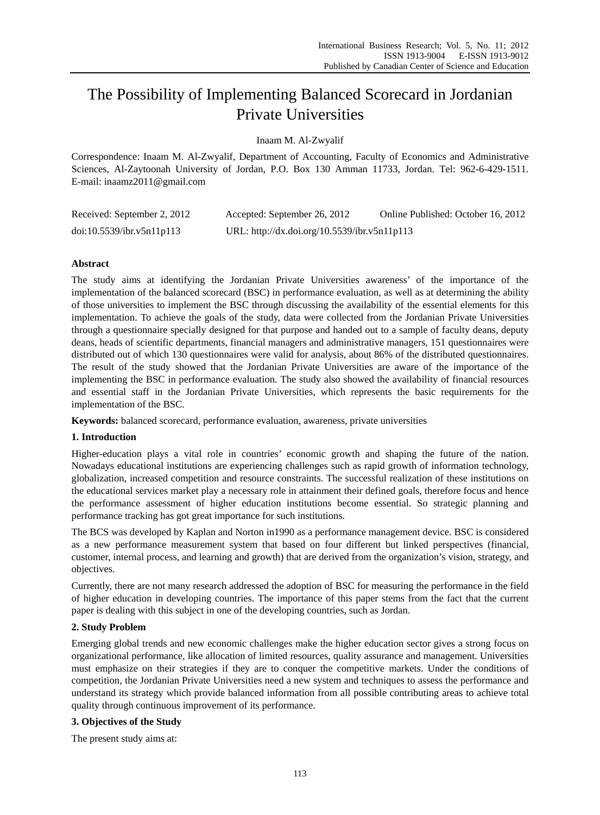# The Possibility of Implementing Balanced Scorecard in Jordanian Private Universities

Inaam M. Al-Zwyalif

Correspondence: Inaam M. Al-Zwyalif, Department of Accounting, Faculty of Economics and Administrative Sciences, Al-Zaytoonah University of Jordan, P.O. Box 130 Amman 11733, Jordan. Tel: 962-6-429-1511. E-mail: inaamz2011@gmail.com

| Received: September 2, 2012 | Accepted: September 26, 2012                 | Online Published: October 16, 2012 |
|-----------------------------|----------------------------------------------|------------------------------------|
| doi:10.5539/ibr.v5n11p113   | URL: http://dx.doi.org/10.5539/ibr.v5n11p113 |                                    |

# **Abstract**

The study aims at identifying the Jordanian Private Universities awareness' of the importance of the implementation of the balanced scorecard (BSC) in performance evaluation, as well as at determining the ability of those universities to implement the BSC through discussing the availability of the essential elements for this implementation. To achieve the goals of the study, data were collected from the Jordanian Private Universities through a questionnaire specially designed for that purpose and handed out to a sample of faculty deans, deputy deans, heads of scientific departments, financial managers and administrative managers, 151 questionnaires were distributed out of which 130 questionnaires were valid for analysis, about 86% of the distributed questionnaires. The result of the study showed that the Jordanian Private Universities are aware of the importance of the implementing the BSC in performance evaluation. The study also showed the availability of financial resources and essential staff in the Jordanian Private Universities, which represents the basic requirements for the implementation of the BSC.

**Keywords:** balanced scorecard, performance evaluation, awareness, private universities

# **1. Introduction**

Higher-education plays a vital role in countries' economic growth and shaping the future of the nation. Nowadays educational institutions are experiencing challenges such as rapid growth of information technology, globalization, increased competition and resource constraints. The successful realization of these institutions on the educational services market play a necessary role in attainment their defined goals, therefore focus and hence the performance assessment of higher education institutions become essential. So strategic planning and performance tracking has got great importance for such institutions.

The BCS was developed by Kaplan and Norton in1990 as a performance management device. BSC is considered as a new performance measurement system that based on four different but linked perspectives (financial, customer, internal process, and learning and growth) that are derived from the organization's vision, strategy, and objectives.

Currently, there are not many research addressed the adoption of BSC for measuring the performance in the field of higher education in developing countries. The importance of this paper stems from the fact that the current paper is dealing with this subject in one of the developing countries, such as Jordan.

# **2. Study Problem**

Emerging global trends and new economic challenges make the higher education sector gives a strong focus on organizational performance, like allocation of limited resources, quality assurance and management. Universities must emphasize on their strategies if they are to conquer the competitive markets. Under the conditions of competition, the Jordanian Private Universities need a new system and techniques to assess the performance and understand its strategy which provide balanced information from all possible contributing areas to achieve total quality through continuous improvement of its performance.

# **3. Objectives of the Study**

The present study aims at: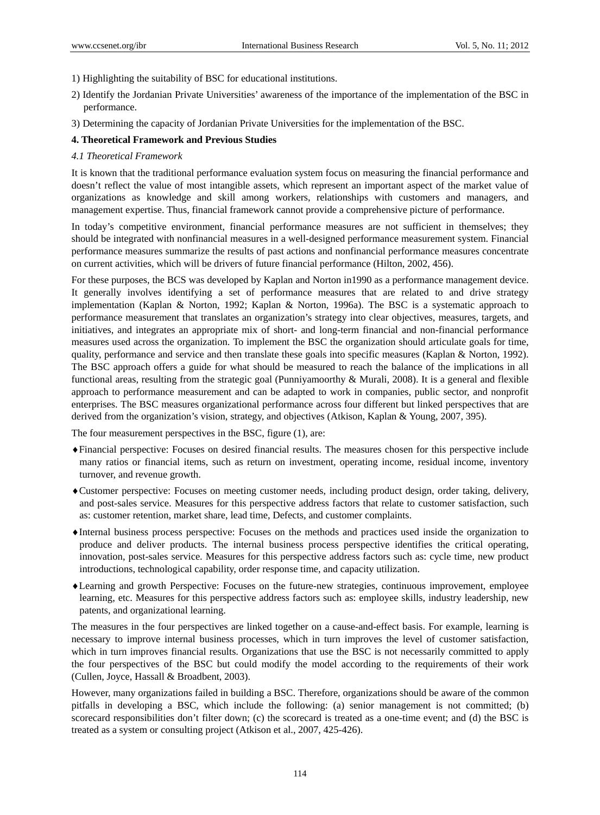- 1) Highlighting the suitability of BSC for educational institutions.
- 2) Identify the Jordanian Private Universities' awareness of the importance of the implementation of the BSC in performance.
- 3) Determining the capacity of Jordanian Private Universities for the implementation of the BSC.

# **4. Theoretical Framework and Previous Studies**

# *4.1 Theoretical Framework*

It is known that the traditional performance evaluation system focus on measuring the financial performance and doesn't reflect the value of most intangible assets, which represent an important aspect of the market value of organizations as knowledge and skill among workers, relationships with customers and managers, and management expertise. Thus, financial framework cannot provide a comprehensive picture of performance.

In today's competitive environment, financial performance measures are not sufficient in themselves; they should be integrated with nonfinancial measures in a well-designed performance measurement system. Financial performance measures summarize the results of past actions and nonfinancial performance measures concentrate on current activities, which will be drivers of future financial performance (Hilton, 2002, 456).

For these purposes, the BCS was developed by Kaplan and Norton in1990 as a performance management device. It generally involves identifying a set of performance measures that are related to and drive strategy implementation (Kaplan & Norton, 1992; Kaplan & Norton, 1996a). The BSC is a systematic approach to performance measurement that translates an organization's strategy into clear objectives, measures, targets, and initiatives, and integrates an appropriate mix of short- and long-term financial and non-financial performance measures used across the organization. To implement the BSC the organization should articulate goals for time, quality, performance and service and then translate these goals into specific measures (Kaplan & Norton, 1992). The BSC approach offers a guide for what should be measured to reach the balance of the implications in all functional areas, resulting from the strategic goal (Punniyamoorthy & Murali, 2008). It is a general and flexible approach to performance measurement and can be adapted to work in companies, public sector, and nonprofit enterprises. The BSC measures organizational performance across four different but linked perspectives that are derived from the organization's vision, strategy, and objectives (Atkison, Kaplan & Young, 2007, 395).

The four measurement perspectives in the BSC, figure (1), are:

- Financial perspective: Focuses on desired financial results. The measures chosen for this perspective include many ratios or financial items, such as return on investment, operating income, residual income, inventory turnover, and revenue growth.
- Customer perspective: Focuses on meeting customer needs, including product design, order taking, delivery, and post-sales service. Measures for this perspective address factors that relate to customer satisfaction, such as: customer retention, market share, lead time, Defects, and customer complaints.
- Internal business process perspective: Focuses on the methods and practices used inside the organization to produce and deliver products. The internal business process perspective identifies the critical operating, innovation, post-sales service. Measures for this perspective address factors such as: cycle time, new product introductions, technological capability, order response time, and capacity utilization.
- Learning and growth Perspective: Focuses on the future-new strategies, continuous improvement, employee learning, etc. Measures for this perspective address factors such as: employee skills, industry leadership, new patents, and organizational learning.

The measures in the four perspectives are linked together on a cause-and-effect basis. For example, learning is necessary to improve internal business processes, which in turn improves the level of customer satisfaction, which in turn improves financial results. Organizations that use the BSC is not necessarily committed to apply the four perspectives of the BSC but could modify the model according to the requirements of their work (Cullen, Joyce, Hassall & Broadbent, 2003).

However, many organizations failed in building a BSC. Therefore, organizations should be aware of the common pitfalls in developing a BSC, which include the following: (a) senior management is not committed; (b) scorecard responsibilities don't filter down; (c) the scorecard is treated as a one-time event; and (d) the BSC is treated as a system or consulting project (Atkison et al., 2007, 425-426).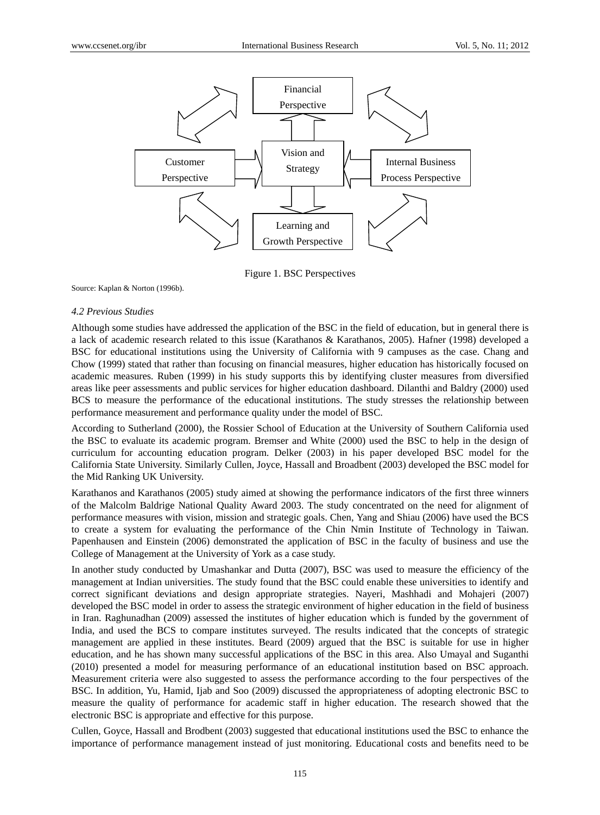

Figure 1. BSC Perspectives

Source: Kaplan & Norton (1996b).

#### *4.2 Previous Studies*

Although some studies have addressed the application of the BSC in the field of education, but in general there is a lack of academic research related to this issue (Karathanos & Karathanos, 2005). Hafner (1998) developed a BSC for educational institutions using the University of California with 9 campuses as the case. Chang and Chow (1999) stated that rather than focusing on financial measures, higher education has historically focused on academic measures. Ruben (1999) in his study supports this by identifying cluster measures from diversified areas like peer assessments and public services for higher education dashboard. Dilanthi and Baldry (2000) used BCS to measure the performance of the educational institutions. The study stresses the relationship between performance measurement and performance quality under the model of BSC.

According to Sutherland (2000), the Rossier School of Education at the University of Southern California used the BSC to evaluate its academic program. Bremser and White (2000) used the BSC to help in the design of curriculum for accounting education program. Delker (2003) in his paper developed BSC model for the California State University. Similarly Cullen, Joyce, Hassall and Broadbent (2003) developed the BSC model for the Mid Ranking UK University.

Karathanos and Karathanos (2005) study aimed at showing the performance indicators of the first three winners of the Malcolm Baldrige National Quality Award 2003. The study concentrated on the need for alignment of performance measures with vision, mission and strategic goals. Chen, Yang and Shiau (2006) have used the BCS to create a system for evaluating the performance of the Chin Nmin Institute of Technology in Taiwan. Papenhausen and Einstein (2006) demonstrated the application of BSC in the faculty of business and use the College of Management at the University of York as a case study.

In another study conducted by Umashankar and Dutta (2007), BSC was used to measure the efficiency of the management at Indian universities. The study found that the BSC could enable these universities to identify and correct significant deviations and design appropriate strategies. Nayeri, Mashhadi and Mohajeri (2007) developed the BSC model in order to assess the strategic environment of higher education in the field of business in Iran. Raghunadhan (2009) assessed the institutes of higher education which is funded by the government of India, and used the BCS to compare institutes surveyed. The results indicated that the concepts of strategic management are applied in these institutes. Beard (2009) argued that the BSC is suitable for use in higher education, and he has shown many successful applications of the BSC in this area. Also Umayal and Suganthi (2010) presented a model for measuring performance of an educational institution based on BSC approach. Measurement criteria were also suggested to assess the performance according to the four perspectives of the BSC. In addition, Yu, Hamid, Ijab and Soo (2009) discussed the appropriateness of adopting electronic BSC to measure the quality of performance for academic staff in higher education. The research showed that the electronic BSC is appropriate and effective for this purpose.

Cullen, Goyce, Hassall and Brodbent (2003) suggested that educational institutions used the BSC to enhance the importance of performance management instead of just monitoring. Educational costs and benefits need to be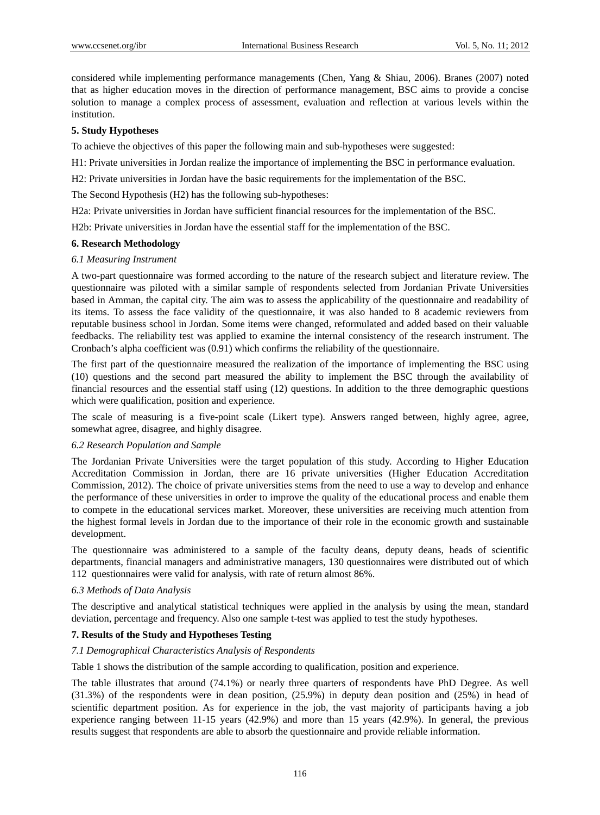considered while implementing performance managements (Chen, Yang & Shiau, 2006). Branes (2007) noted that as higher education moves in the direction of performance management, BSC aims to provide a concise solution to manage a complex process of assessment, evaluation and reflection at various levels within the institution.

#### **5. Study Hypotheses**

To achieve the objectives of this paper the following main and sub-hypotheses were suggested:

H1: Private universities in Jordan realize the importance of implementing the BSC in performance evaluation.

H2: Private universities in Jordan have the basic requirements for the implementation of the BSC.

The Second Hypothesis (H2) has the following sub-hypotheses:

H2a: Private universities in Jordan have sufficient financial resources for the implementation of the BSC.

H2b: Private universities in Jordan have the essential staff for the implementation of the BSC.

## **6. Research Methodology**

## *6.1 Measuring Instrument*

A two-part questionnaire was formed according to the nature of the research subject and literature review. The questionnaire was piloted with a similar sample of respondents selected from Jordanian Private Universities based in Amman, the capital city. The aim was to assess the applicability of the questionnaire and readability of its items. To assess the face validity of the questionnaire, it was also handed to 8 academic reviewers from reputable business school in Jordan. Some items were changed, reformulated and added based on their valuable feedbacks. The reliability test was applied to examine the internal consistency of the research instrument. The Cronbach's alpha coefficient was (0.91) which confirms the reliability of the questionnaire.

The first part of the questionnaire measured the realization of the importance of implementing the BSC using (10) questions and the second part measured the ability to implement the BSC through the availability of financial resources and the essential staff using (12) questions. In addition to the three demographic questions which were qualification, position and experience.

The scale of measuring is a five-point scale (Likert type). Answers ranged between, highly agree, agree, somewhat agree, disagree, and highly disagree.

#### *6.2 Research Population and Sample*

The Jordanian Private Universities were the target population of this study. According to Higher Education Accreditation Commission in Jordan, there are 16 private universities (Higher Education Accreditation Commission, 2012). The choice of private universities stems from the need to use a way to develop and enhance the performance of these universities in order to improve the quality of the educational process and enable them to compete in the educational services market. Moreover, these universities are receiving much attention from the highest formal levels in Jordan due to the importance of their role in the economic growth and sustainable development.

The questionnaire was administered to a sample of the faculty deans, deputy deans, heads of scientific departments, financial managers and administrative managers, 130 questionnaires were distributed out of which 112 questionnaires were valid for analysis, with rate of return almost 86%.

#### *6.3 Methods of Data Analysis*

The descriptive and analytical statistical techniques were applied in the analysis by using the mean, standard deviation, percentage and frequency. Also one sample t-test was applied to test the study hypotheses.

# **7. Results of the Study and Hypotheses Testing**

#### *7.1 Demographical Characteristics Analysis of Respondents*

Table 1 shows the distribution of the sample according to qualification, position and experience.

The table illustrates that around (74.1%) or nearly three quarters of respondents have PhD Degree. As well (31.3%) of the respondents were in dean position, (25.9%) in deputy dean position and (25%) in head of scientific department position. As for experience in the job, the vast majority of participants having a job experience ranging between 11-15 years (42.9%) and more than 15 years (42.9%). In general, the previous results suggest that respondents are able to absorb the questionnaire and provide reliable information.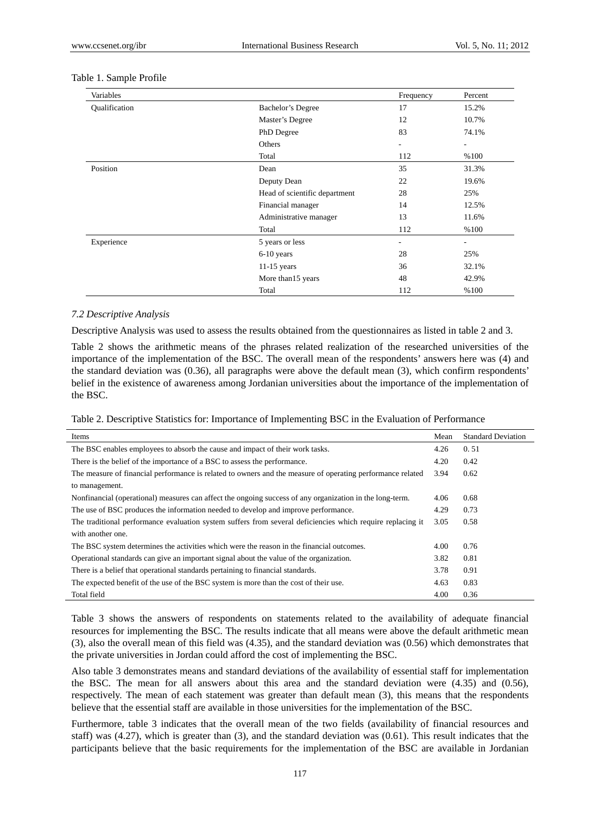| Variables     |                               | Frequency                    | Percent                  |
|---------------|-------------------------------|------------------------------|--------------------------|
| Qualification | Bachelor's Degree             | 17                           | 15.2%                    |
|               | Master's Degree               | 12                           | 10.7%                    |
|               | PhD Degree                    | 83                           | 74.1%                    |
|               | Others                        | $\overline{\phantom{a}}$     | $\overline{\phantom{0}}$ |
|               | Total                         | 112                          | %100                     |
| Position      | Dean                          | 35                           | 31.3%                    |
|               | Deputy Dean                   | 22                           | 19.6%                    |
|               | Head of scientific department | 28                           | 25%                      |
|               | Financial manager             | 14                           | 12.5%                    |
|               | Administrative manager        | 13                           | 11.6%                    |
|               | Total                         | 112                          | %100                     |
| Experience    | 5 years or less               | $\qquad \qquad \blacksquare$ | $\overline{\phantom{0}}$ |
|               | $6-10$ years                  | 28                           | 25%                      |
|               | 11-15 years                   | 36                           | 32.1%                    |
|               | More than15 years             | 48                           | 42.9%                    |
|               | Total                         | 112                          | %100                     |

#### Table 1. Sample Profile

#### *7.2 Descriptive Analysis*

Descriptive Analysis was used to assess the results obtained from the questionnaires as listed in table 2 and 3.

Table 2 shows the arithmetic means of the phrases related realization of the researched universities of the importance of the implementation of the BSC. The overall mean of the respondents' answers here was (4) and the standard deviation was (0.36), all paragraphs were above the default mean (3), which confirm respondents' belief in the existence of awareness among Jordanian universities about the importance of the implementation of the BSC.

|  |  | Table 2. Descriptive Statistics for: Importance of Implementing BSC in the Evaluation of Performance |
|--|--|------------------------------------------------------------------------------------------------------|
|  |  |                                                                                                      |

| Items                                                                                                      | Mean | <b>Standard Deviation</b> |
|------------------------------------------------------------------------------------------------------------|------|---------------------------|
| The BSC enables employees to absorb the cause and impact of their work tasks.                              | 4.26 | 0.51                      |
| There is the belief of the importance of a BSC to assess the performance.                                  | 4.20 | 0.42                      |
| The measure of financial performance is related to owners and the measure of operating performance related | 3.94 | 0.62                      |
| to management.                                                                                             |      |                           |
| Nonfinancial (operational) measures can affect the ongoing success of any organization in the long-term.   | 4.06 | 0.68                      |
| The use of BSC produces the information needed to develop and improve performance.                         | 4.29 | 0.73                      |
| The traditional performance evaluation system suffers from several deficiencies which require replacing it |      | 0.58                      |
| with another one.                                                                                          |      |                           |
| The BSC system determines the activities which were the reason in the financial outcomes.                  | 4.00 | 0.76                      |
| Operational standards can give an important signal about the value of the organization.                    | 3.82 | 0.81                      |
| There is a belief that operational standards pertaining to financial standards.                            | 3.78 | 0.91                      |
| The expected benefit of the use of the BSC system is more than the cost of their use.                      | 4.63 | 0.83                      |
| Total field                                                                                                | 4.00 | 0.36                      |

Table 3 shows the answers of respondents on statements related to the availability of adequate financial resources for implementing the BSC. The results indicate that all means were above the default arithmetic mean (3), also the overall mean of this field was (4.35), and the standard deviation was (0.56) which demonstrates that the private universities in Jordan could afford the cost of implementing the BSC.

Also table 3 demonstrates means and standard deviations of the availability of essential staff for implementation the BSC. The mean for all answers about this area and the standard deviation were (4.35) and (0.56), respectively. The mean of each statement was greater than default mean (3), this means that the respondents believe that the essential staff are available in those universities for the implementation of the BSC.

Furthermore, table 3 indicates that the overall mean of the two fields (availability of financial resources and staff) was  $(4.27)$ , which is greater than  $(3)$ , and the standard deviation was  $(0.61)$ . This result indicates that the participants believe that the basic requirements for the implementation of the BSC are available in Jordanian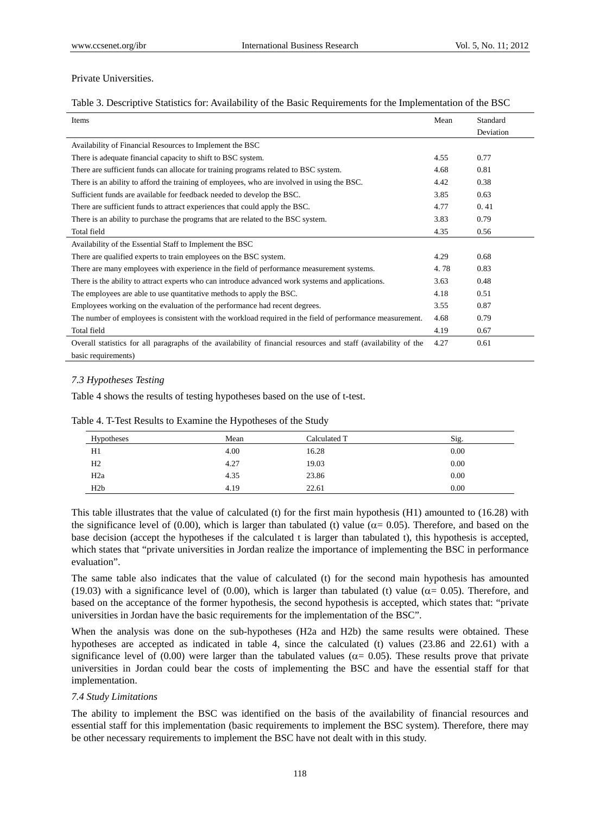# Private Universities.

## Table 3. Descriptive Statistics for: Availability of the Basic Requirements for the Implementation of the BSC

| Items                                                                                                           | Mean | Standard  |
|-----------------------------------------------------------------------------------------------------------------|------|-----------|
|                                                                                                                 |      | Deviation |
| Availability of Financial Resources to Implement the BSC                                                        |      |           |
| There is adequate financial capacity to shift to BSC system.                                                    | 4.55 | 0.77      |
| There are sufficient funds can allocate for training programs related to BSC system.                            | 4.68 | 0.81      |
| There is an ability to afford the training of employees, who are involved in using the BSC.                     | 4.42 | 0.38      |
| Sufficient funds are available for feedback needed to develop the BSC.                                          | 3.85 | 0.63      |
| There are sufficient funds to attract experiences that could apply the BSC.                                     | 4.77 | 0.41      |
| There is an ability to purchase the programs that are related to the BSC system.                                | 3.83 | 0.79      |
| Total field                                                                                                     | 4.35 | 0.56      |
| Availability of the Essential Staff to Implement the BSC                                                        |      |           |
| There are qualified experts to train employees on the BSC system.                                               | 4.29 | 0.68      |
| There are many employees with experience in the field of performance measurement systems.                       | 4.78 | 0.83      |
| There is the ability to attract experts who can introduce advanced work systems and applications.               | 3.63 | 0.48      |
| The employees are able to use quantitative methods to apply the BSC.                                            | 4.18 | 0.51      |
| Employees working on the evaluation of the performance had recent degrees.                                      | 3.55 | 0.87      |
| The number of employees is consistent with the workload required in the field of performance measurement.       | 4.68 | 0.79      |
| Total field                                                                                                     | 4.19 | 0.67      |
| Overall statistics for all paragraphs of the availability of financial resources and staff (availability of the | 4.27 | 0.61      |
| basic requirements)                                                                                             |      |           |

# *7.3 Hypotheses Testing*

Table 4 shows the results of testing hypotheses based on the use of t-test.

| Hypotheses       | Mean | Calculated T | Sig. |
|------------------|------|--------------|------|
| H1               | 4.00 | 16.28        | 0.00 |
| H <sub>2</sub>   | 4.27 | 19.03        | 0.00 |
| H <sub>2</sub> a | 4.35 | 23.86        | 0.00 |
| H2b              | 4.19 | 22.61        | 0.00 |

Table 4. T-Test Results to Examine the Hypotheses of the Study

This table illustrates that the value of calculated (t) for the first main hypothesis (H1) amounted to (16.28) with the significance level of (0.00), which is larger than tabulated (t) value ( $\alpha$  = 0.05). Therefore, and based on the base decision (accept the hypotheses if the calculated t is larger than tabulated t), this hypothesis is accepted, which states that "private universities in Jordan realize the importance of implementing the BSC in performance evaluation".

The same table also indicates that the value of calculated (t) for the second main hypothesis has amounted (19.03) with a significance level of (0.00), which is larger than tabulated (t) value ( $\alpha$  = 0.05). Therefore, and based on the acceptance of the former hypothesis, the second hypothesis is accepted, which states that: "private universities in Jordan have the basic requirements for the implementation of the BSC".

When the analysis was done on the sub-hypotheses (H2a and H2b) the same results were obtained. These hypotheses are accepted as indicated in table 4, since the calculated (t) values (23.86 and 22.61) with a significance level of (0.00) were larger than the tabulated values ( $\alpha$  = 0.05). These results prove that private universities in Jordan could bear the costs of implementing the BSC and have the essential staff for that implementation.

# *7.4 Study Limitations*

The ability to implement the BSC was identified on the basis of the availability of financial resources and essential staff for this implementation (basic requirements to implement the BSC system). Therefore, there may be other necessary requirements to implement the BSC have not dealt with in this study.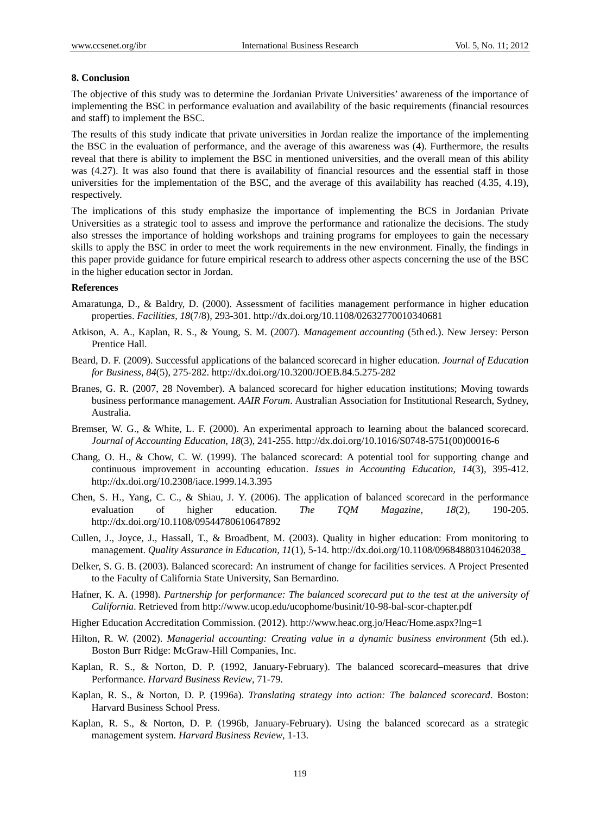#### **8. Conclusion**

The objective of this study was to determine the Jordanian Private Universities' awareness of the importance of implementing the BSC in performance evaluation and availability of the basic requirements (financial resources and staff) to implement the BSC.

The results of this study indicate that private universities in Jordan realize the importance of the implementing the BSC in the evaluation of performance, and the average of this awareness was (4). Furthermore, the results reveal that there is ability to implement the BSC in mentioned universities, and the overall mean of this ability was (4.27). It was also found that there is availability of financial resources and the essential staff in those universities for the implementation of the BSC, and the average of this availability has reached (4.35, 4.19), respectively.

The implications of this study emphasize the importance of implementing the BCS in Jordanian Private Universities as a strategic tool to assess and improve the performance and rationalize the decisions. The study also stresses the importance of holding workshops and training programs for employees to gain the necessary skills to apply the BSC in order to meet the work requirements in the new environment. Finally, the findings in this paper provide guidance for future empirical research to address other aspects concerning the use of the BSC in the higher education sector in Jordan.

## **References**

- Amaratunga, D., & Baldry, D. (2000). Assessment of facilities management performance in higher education properties. *Facilities*, *18*(7/8), 293-301. http://dx.doi.org/10.1108/02632770010340681
- Atkison, A. A., Kaplan, R. S., & Young, S. M. (2007). *Management accounting* (5th ed.). New Jersey: Person Prentice Hall.
- Beard, D. F. (2009). Successful applications of the balanced scorecard in higher education. *Journal of Education for Business*, *84*(5), 275-282. http://dx.doi.org/10.3200/JOEB.84.5.275-282
- Branes, G. R. (2007, 28 November). A balanced scorecard for higher education institutions; Moving towards business performance management. *AAIR Forum*. Australian Association for Institutional Research, Sydney, Australia.
- Bremser, W. G., & White, L. F. (2000). An experimental approach to learning about the balanced scorecard. *Journal of Accounting Education*, *18*(3), 241-255. http://dx.doi.org/10.1016/S0748-5751(00)00016-6
- Chang, O. H., & Chow, C. W. (1999). The balanced scorecard: A potential tool for supporting change and continuous improvement in accounting education. *Issues in Accounting Education*, *14*(3), 395-412. http://dx.doi.org/10.2308/iace.1999.14.3.395
- Chen, S. H., Yang, C. C., & Shiau, J. Y. (2006). The application of balanced scorecard in the performance evaluation of higher education. *The TQM Magazine*, *18*(2), 190-205. http://dx.doi.org/10.1108/09544780610647892
- Cullen, J., Joyce, J., Hassall, T., & Broadbent, M. (2003). Quality in higher education: From monitoring to management. *Quality Assurance in Education*, *11*(1), 5-14. http://dx.doi.org/10.1108/09684880310462038
- Delker, S. G. B. (2003). Balanced scorecard: An instrument of change for facilities services. A Project Presented to the Faculty of California State University, San Bernardino.
- Hafner, K. A. (1998). *Partnership for performance: The balanced scorecard put to the test at the university of California*. Retrieved from http://www.ucop.edu/ucophome/businit/10-98-bal-scor-chapter.pdf
- Higher Education Accreditation Commission. (2012). http://www.heac.org.jo/Heac/Home.aspx?lng=1
- Hilton, R. W. (2002). *Managerial accounting: Creating value in a dynamic business environment* (5th ed.). Boston Burr Ridge: McGraw-Hill Companies, Inc.
- Kaplan, R. S., & Norton, D. P. (1992, January-February). The balanced scorecard–measures that drive Performance. *Harvard Business Review*, 71-79.
- Kaplan, R. S., & Norton, D. P. (1996a). *Translating strategy into action: The balanced scorecard*. Boston: Harvard Business School Press.
- Kaplan, R. S., & Norton, D. P. (1996b, January-February). Using the balanced scorecard as a strategic management system. *Harvard Business Review*, 1-13.